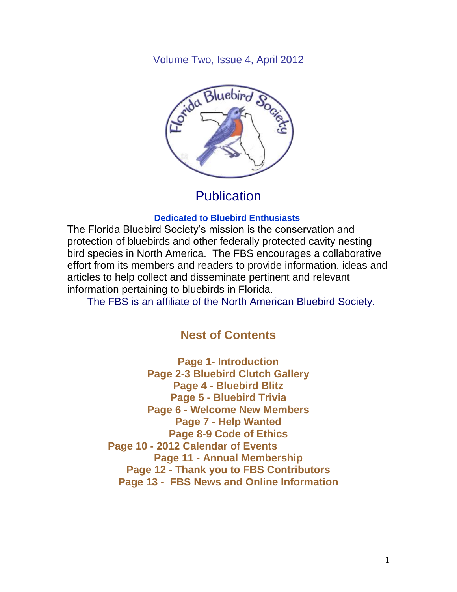Volume Two, Issue 4, April 2012



## **Publication**

#### **Dedicated to Bluebird Enthusiasts**

The Florida Bluebird Society's mission is the conservation and protection of bluebirds and other federally protected cavity nesting bird species in North America. The FBS encourages a collaborative effort from its members and readers to provide information, ideas and articles to help collect and disseminate pertinent and relevant information pertaining to bluebirds in Florida.

The FBS is an affiliate of the North American Bluebird Society.

## **Nest of Contents**

**Page 1- Introduction Page 2-3 Bluebird Clutch Gallery Page 4 - Bluebird Blitz Page 5 - Bluebird Trivia Page 6 - Welcome New Members Page 7 - Help Wanted Page 8-9 Code of Ethics Page 10 - 2012 Calendar of Events Page 11 - Annual Membership Page 12 - Thank you to FBS Contributors Page 13 - FBS News and Online Information**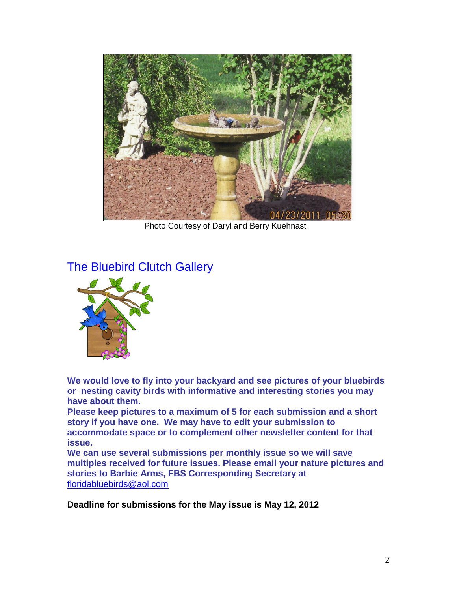

Photo Courtesy of Daryl and Berry Kuehnast

## The Bluebird Clutch Gallery



**We would love to fly into your backyard and see pictures of your bluebirds or nesting cavity birds with informative and interesting stories you may have about them.**

**Please keep pictures to a maximum of 5 for each submission and a short story if you have one. We may have to edit your submission to accommodate space or to complement other newsletter content for that issue.**

**We can use several submissions per monthly issue so we will save multiples received for future issues. Please email your nature pictures and stories to Barbie Arms, FBS Corresponding Secretary at** [floridabluebirds@aol.com](mailto:floridabluebirds@aol.com)

**Deadline for submissions for the May issue is May 12, 2012**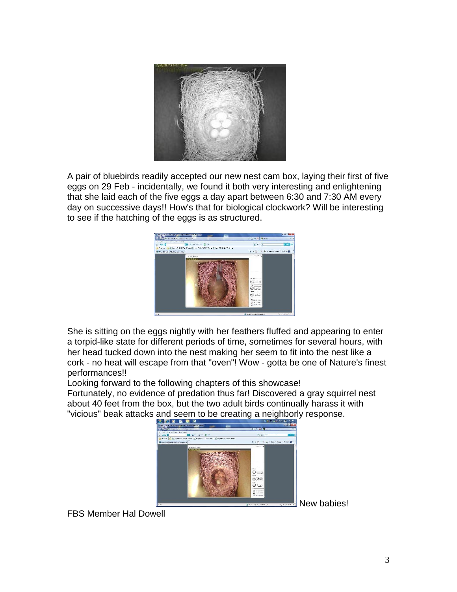

A pair of bluebirds readily accepted our new nest cam box, laying their first of five eggs on 29 Feb - incidentally, we found it both very interesting and enlightening that she laid each of the five eggs a day apart between 6:30 and 7:30 AM every day on successive days!! How's that for biological clockwork? Will be interesting to see if the hatching of the eggs is as structured.



She is sitting on the eggs nightly with her feathers fluffed and appearing to enter a torpid-like state for different periods of time, sometimes for several hours, with her head tucked down into the nest making her seem to fit into the nest like a cork - no heat will escape from that "oven"! Wow - gotta be one of Nature's finest performances!!

Looking forward to the following chapters of this showcase!

Fortunately, no evidence of predation thus far! Discovered a gray squirrel nest about 40 feet from the box, but the two adult birds continually harass it with "vicious" beak attacks and seem to be creating a neighborly response.<br>التقضيم المسلمة



FBS Member Hal Dowell

New babies!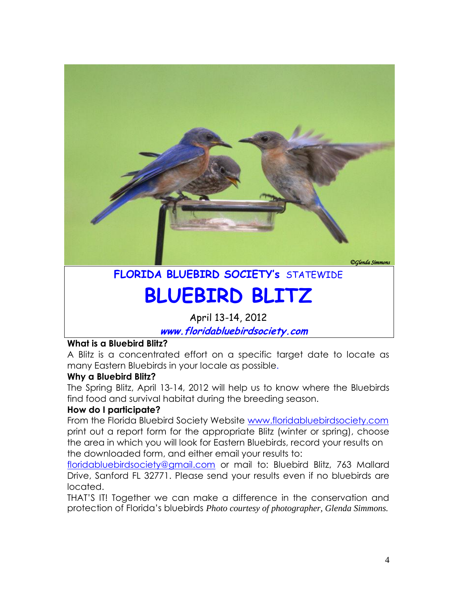

# **FLORIDA BLUEBIRD SOCIETY's** STATEWIDE

# **BLUEBIRD BLITZ**

April 13-14, 2012

**www.floridabluebirdsociety.com**

#### **What is a Bluebird Blitz?**

A Blitz is a concentrated effort on a specific target date to locate as many Eastern Bluebirds in your locale as possible.

#### **Why a Bluebird Blitz?**

The Spring Blitz, April 13-14, 2012 will help us to know where the Bluebirds find food and survival habitat during the breeding season.

#### **How do I participate?**

From the Florida Bluebird Society Website [www.floridabluebirdsociety.com](http://www.floridabluebirdsociety.com/) print out a report form for the appropriate Blitz (winter or spring), choose the area in which you will look for Eastern Bluebirds, record your results on the downloaded form, and either email your results to:

[floridabluebirdsociety@gmail.com](mailto:floridabluebirdsociety@gmail.com) or mail to: Bluebird Blitz, 763 Mallard Drive, Sanford FL 32771. Please send your results even if no bluebirds are located.

THAT'S IT! Together we can make a difference in the conservation and protection of Florida's bluebirds *Photo courtesy of photographer, Glenda Simmons.*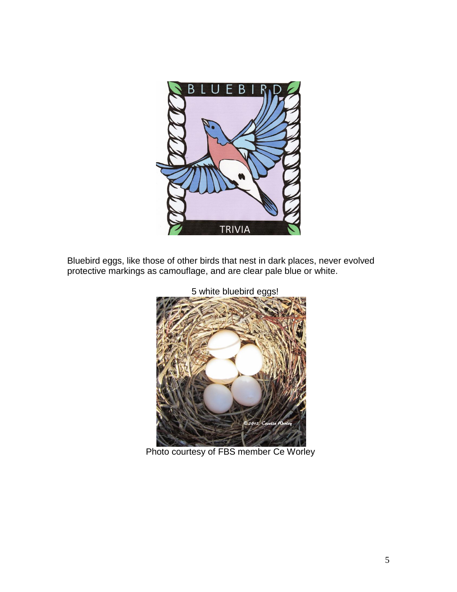

Bluebird eggs, like those of other birds that nest in dark places, never evolved protective markings as camouflage, and are clear pale blue or white.



Photo courtesy of FBS member Ce Worley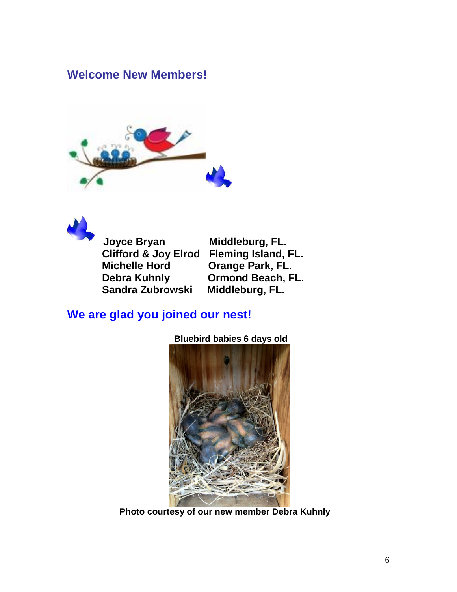## **Welcome New Members!**





 **Joyce Bryan Middleburg, FL. Clifford & Joy Elrod Fleming Island, FL. Michelle Hord Orange Park, FL. Debra Kuhnly Cormond Beach, FL.<br>Sandra Zubrowski Middleburg, FL. Sandra Zubrowski** 

## **We are glad you joined our nest!**



 **Bluebird babies 6 days old**

 **Photo courtesy of our new member Debra Kuhnly**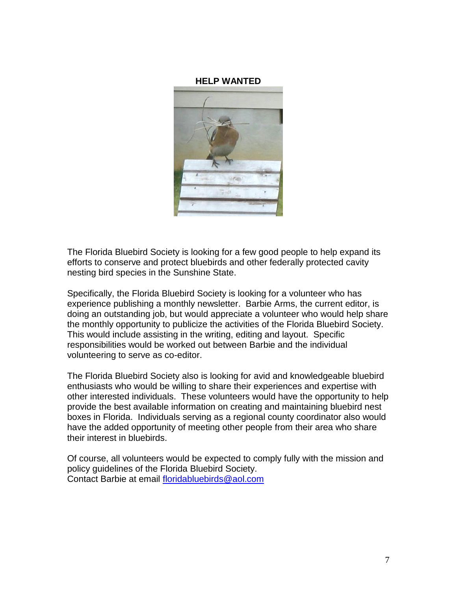#### **HELP WANTED**



The Florida Bluebird Society is looking for a few good people to help expand its efforts to conserve and protect bluebirds and other federally protected cavity nesting bird species in the Sunshine State.

Specifically, the Florida Bluebird Society is looking for a volunteer who has experience publishing a monthly newsletter. Barbie Arms, the current editor, is doing an outstanding job, but would appreciate a volunteer who would help share the monthly opportunity to publicize the activities of the Florida Bluebird Society. This would include assisting in the writing, editing and layout. Specific responsibilities would be worked out between Barbie and the individual volunteering to serve as co-editor.

The Florida Bluebird Society also is looking for avid and knowledgeable bluebird enthusiasts who would be willing to share their experiences and expertise with other interested individuals. These volunteers would have the opportunity to help provide the best available information on creating and maintaining bluebird nest boxes in Florida. Individuals serving as a regional county coordinator also would have the added opportunity of meeting other people from their area who share their interest in bluebirds.

Of course, all volunteers would be expected to comply fully with the mission and policy guidelines of the Florida Bluebird Society. Contact Barbie at email [floridabluebirds@aol.com](mailto:floridabluebirds@aol.com)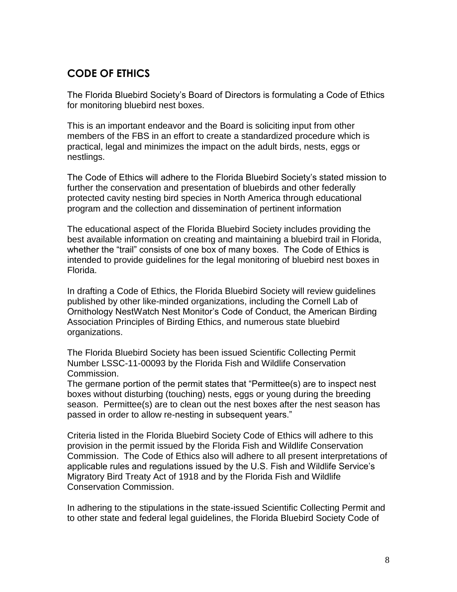## **CODE OF ETHICS**

The Florida Bluebird Society's Board of Directors is formulating a Code of Ethics for monitoring bluebird nest boxes.

This is an important endeavor and the Board is soliciting input from other members of the FBS in an effort to create a standardized procedure which is practical, legal and minimizes the impact on the adult birds, nests, eggs or nestlings.

The Code of Ethics will adhere to the Florida Bluebird Society's stated mission to further the conservation and presentation of bluebirds and other federally protected cavity nesting bird species in North America through educational program and the collection and dissemination of pertinent information

The educational aspect of the Florida Bluebird Society includes providing the best available information on creating and maintaining a bluebird trail in Florida, whether the "trail" consists of one box of many boxes. The Code of Ethics is intended to provide guidelines for the legal monitoring of bluebird nest boxes in Florida.

In drafting a Code of Ethics, the Florida Bluebird Society will review guidelines published by other like-minded organizations, including the Cornell Lab of Ornithology NestWatch Nest Monitor's Code of Conduct, the American Birding Association Principles of Birding Ethics, and numerous state bluebird organizations.

The Florida Bluebird Society has been issued Scientific Collecting Permit Number LSSC-11-00093 by the Florida Fish and Wildlife Conservation Commission.

The germane portion of the permit states that "Permittee(s) are to inspect nest boxes without disturbing (touching) nests, eggs or young during the breeding season. Permittee(s) are to clean out the nest boxes after the nest season has passed in order to allow re-nesting in subsequent years."

Criteria listed in the Florida Bluebird Society Code of Ethics will adhere to this provision in the permit issued by the Florida Fish and Wildlife Conservation Commission. The Code of Ethics also will adhere to all present interpretations of applicable rules and regulations issued by the U.S. Fish and Wildlife Service's Migratory Bird Treaty Act of 1918 and by the Florida Fish and Wildlife Conservation Commission.

In adhering to the stipulations in the state-issued Scientific Collecting Permit and to other state and federal legal guidelines, the Florida Bluebird Society Code of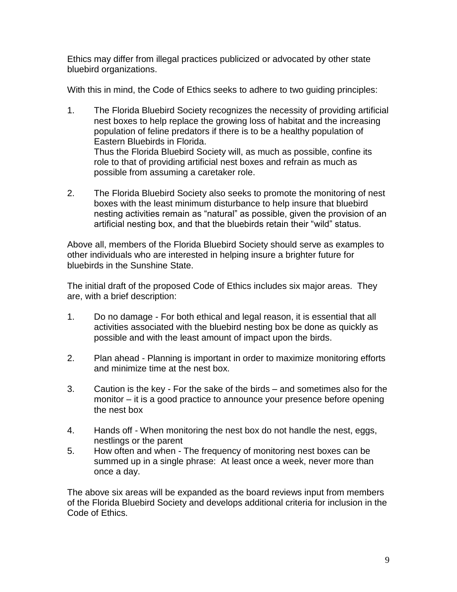Ethics may differ from illegal practices publicized or advocated by other state bluebird organizations.

With this in mind, the Code of Ethics seeks to adhere to two guiding principles:

- 1. The Florida Bluebird Society recognizes the necessity of providing artificial nest boxes to help replace the growing loss of habitat and the increasing population of feline predators if there is to be a healthy population of Eastern Bluebirds in Florida. Thus the Florida Bluebird Society will, as much as possible, confine its role to that of providing artificial nest boxes and refrain as much as possible from assuming a caretaker role.
- 2. The Florida Bluebird Society also seeks to promote the monitoring of nest boxes with the least minimum disturbance to help insure that bluebird nesting activities remain as "natural" as possible, given the provision of an artificial nesting box, and that the bluebirds retain their "wild" status.

Above all, members of the Florida Bluebird Society should serve as examples to other individuals who are interested in helping insure a brighter future for bluebirds in the Sunshine State.

The initial draft of the proposed Code of Ethics includes six major areas. They are, with a brief description:

- 1. Do no damage For both ethical and legal reason, it is essential that all activities associated with the bluebird nesting box be done as quickly as possible and with the least amount of impact upon the birds.
- 2. Plan ahead Planning is important in order to maximize monitoring efforts and minimize time at the nest box.
- 3. Caution is the key For the sake of the birds and sometimes also for the monitor – it is a good practice to announce your presence before opening the nest box
- 4. Hands off When monitoring the nest box do not handle the nest, eggs, nestlings or the parent
- 5. How often and when The frequency of monitoring nest boxes can be summed up in a single phrase: At least once a week, never more than once a day.

The above six areas will be expanded as the board reviews input from members of the Florida Bluebird Society and develops additional criteria for inclusion in the Code of Ethics.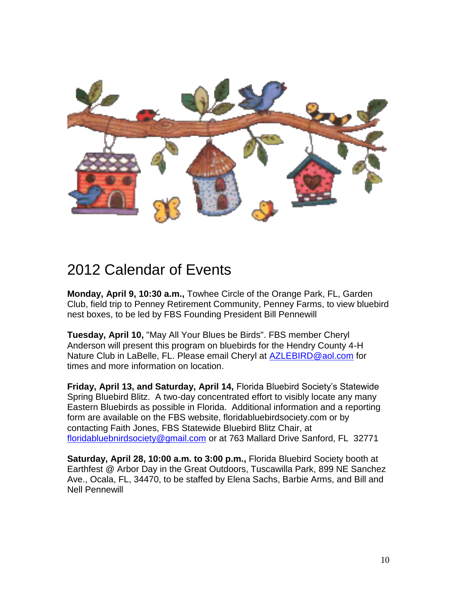

## 2012 Calendar of Events

**Monday, April 9, 10:30 a.m.,** Towhee Circle of the Orange Park, FL, Garden Club, field trip to Penney Retirement Community, Penney Farms, to view bluebird nest boxes, to be led by FBS Founding President Bill Pennewill

**Tuesday, April 10,** "May All Your Blues be Birds". FBS member Cheryl Anderson will present this program on bluebirds for the Hendry County 4-H Nature Club in LaBelle, FL. Please email Cheryl at [AZLEBIRD@aol.com](mailto:AZLEBIRD@aol.com) for times and more information on location.

**Friday, April 13, and Saturday, April 14,** Florida Bluebird Society's Statewide Spring Bluebird Blitz. A two-day concentrated effort to visibly locate any many Eastern Bluebirds as possible in Florida. Additional information and a reporting form are available on the FBS website, floridabluebirdsociety.com or by contacting Faith Jones, FBS Statewide Bluebird Blitz Chair, at [floridabluebnirdsociety@gmail.com](mailto:floridabluebnirdsociety@gmail.com) or at 763 Mallard Drive Sanford, FL 32771

**Saturday, April 28, 10:00 a.m. to 3:00 p.m.,** Florida Bluebird Society booth at Earthfest @ Arbor Day in the Great Outdoors, Tuscawilla Park, 899 NE Sanchez Ave., Ocala, FL, 34470, to be staffed by Elena Sachs, Barbie Arms, and Bill and Nell Pennewill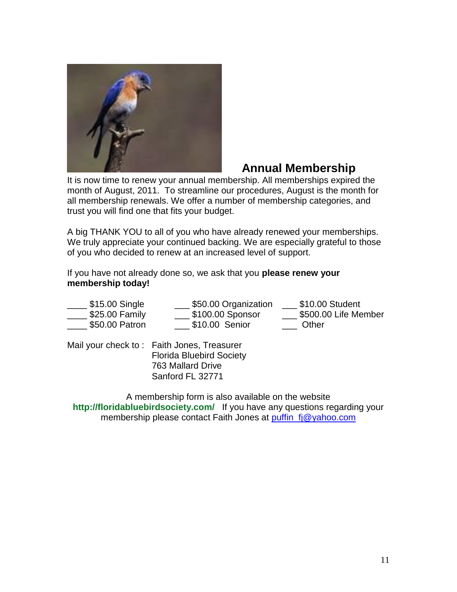

## **Annual Membership**

It is now time to renew your annual membership. All memberships expired the month of August, 2011. To streamline our procedures, August is the month for all membership renewals. We offer a number of membership categories, and trust you will find one that fits your budget.

A big THANK YOU to all of you who have already renewed your memberships. We truly appreciate your continued backing. We are especially grateful to those of you who decided to renew at an increased level of support.

If you have not already done so, we ask that you **please renew your membership today!**

| \$15.00 Single  | \$50.00 Organization | \$10.00 Student      |
|-----------------|----------------------|----------------------|
| $$25.00$ Family | \$100.00 Sponsor     | \$500.00 Life Member |
| \$50.00 Patron  | \$10.00 Senior       | Other                |

Mail your check to : Faith Jones, Treasurer Florida Bluebird Society 763 Mallard Drive Sanford FL 32771

A membership form is also available on the website **http://floridabluebirdsociety.com/** If you have any questions regarding your membership please contact Faith Jones at [puffin\\_fj@yahoo.com](mailto:puffin_fj@yahoo.com)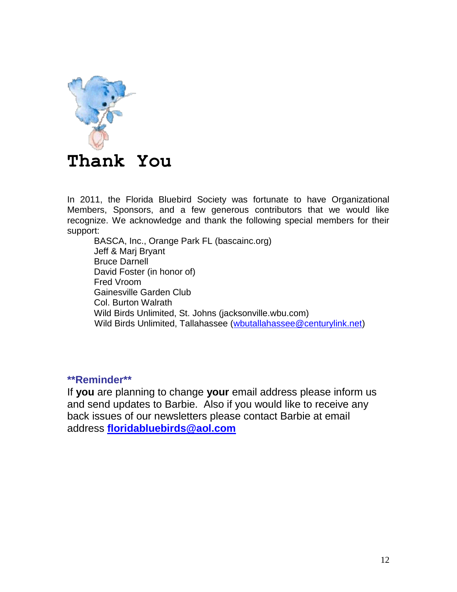

In 2011, the Florida Bluebird Society was fortunate to have Organizational Members, Sponsors, and a few generous contributors that we would like recognize. We acknowledge and thank the following special members for their support:

BASCA, Inc., Orange Park FL (bascainc.org) Jeff & Marj Bryant Bruce Darnell David Foster (in honor of) Fred Vroom Gainesville Garden Club Col. Burton Walrath Wild Birds Unlimited, St. Johns (jacksonville.wbu.com) Wild Birds Unlimited, Tallahassee [\(wbutallahassee@centurylink.net\)](mailto:wbutallahassee@centurylink.net)

**\*\*Reminder\*\***

If **you** are planning to change **your** email address please inform us and send updates to Barbie. Also if you would like to receive any back issues of our newsletters please contact Barbie at email address **[floridabluebirds@aol.com](mailto:floridabluebirds@aol.com)**